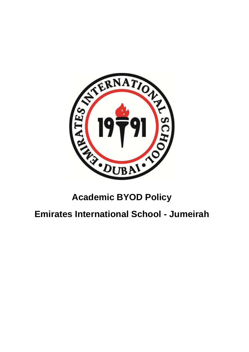

# **Academic BYOD Policy**

## **Emirates International School - Jumeirah**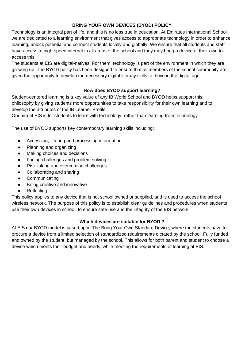## **BRING YOUR OWN DEVICES (BYOD) POLICY**

Technology is an integral part of life, and this is no less true in education. At Emirates International School we are dedicated to a learning environment that gives access to appropriate technology in order to enhance learning, unlock potential and connect students locally and globally. We ensure that all students and staff have access to high-speed internet in all areas of the school and they may bring a device of their own to access this.

The students at EIS are digital-natives. For them, technology is part of the environment in which they are growing up. The BYOD policy has been designed to ensure that all members of the school community are given the opportunity to develop the necessary digital literacy skills to thrive in the digital age.

## **How does BYOD support learning?**

Student-centered learning is a key value of any IB World School and BYOD helps support this philosophy by giving students more opportunities to take responsibility for their own learning and to develop the attributes of the IB Learner Profile.

Our aim at EIS is for students to learn with technology, rather than learning from technology.

The use of BYOD supports key contemporary learning skills including:

- Accessing, filtering and processing information
- Planning and organizing
- Making choices and decisions
- Facing challenges and problem solving
- Risk-taking and overcoming challenges
- Collaborating and sharing
- Communicating
- Being creative and innovative
- Reflecting

This policy applies to any device that is not school owned or supplied, and is used to access the school wireless network. The purpose of this policy is to establish clear guidelines and procedures when students use their own devices in school, to ensure safe use and the integrity of the EIS network.

## **Which devices are suitable for BYOD ?**

At EIS our BYOD model is based upon The Bring Your Own Standard Device, where the students have to procure a device from a limited selection of standardized requirements dictated by the school. Fully funded and owned by the student, but managed by the school. This allows for both parent and student to choose a device which meets their budget and needs, while meeting the requirements of learning at EIS.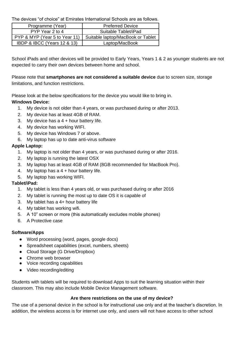The devices "of choice" at Emirates International Schools are as follows.

| Programme (Year)                           | <b>Preferred Device</b>           |
|--------------------------------------------|-----------------------------------|
| PYP Year 2 to 4                            | Suitable Tablet/iPad              |
| PYP & MYP (Year 5 to Year 11)              | Suitable laptop/MacBook or Tablet |
| <b>IBDP &amp; IBCC (Years 12 &amp; 13)</b> | Laptop/MacBook                    |

School iPads and other devices will be provided to Early Years, Years 1 & 2 as younger students are not expected to carry their own devices between home and school.

Please note that **smartphones are not considered a suitable device** due to screen size, storage limitations, and function restrictions.

Please look at the below specifications for the device you would like to bring in. **Windows Device:**

- 1. My device is not older than 4 years, or was purchased during or after 2013.
- 2. My device has at least 4GB of RAM.
- 3. My device has a  $4 +$  hour battery life.
- 4. My device has working WIFI.
- 5. My device has Windows 7 or above.
- 6. My laptop has up to date anti-virus software

#### **Apple Laptop:**

- 1. My laptop is not older than 4 years, or was purchased during or after 2016.
- 2. My laptop is running the latest OSX
- 3. My laptop has at least 4GB of RAM (8GB recommended for MacBook Pro).
- 4. My laptop has a 4 + hour battery life.
- 5. My laptop has working WIFI.

#### **Tablet/iPad:**

- 1. My tablet is less than 4 years old, or was purchased during or after 2016
- 2. My tablet is running the most up to date OS it is capable of
- 3. My tablet has a 4+ hour battery life
- 4. My tablet has working wifi.
- 5. A 10" screen or more (this automatically excludes mobile phones)
- 6. A Protective case

## **Software/Apps**

- Word processing (word, pages, google docs)
- Spreadsheet capabilities (excel, numbers, sheets)
- Cloud Storage (G Drive/Dropbox)
- Chrome web browser
- Voice recording capabilities
- Video recording/editing

Students with tablets will be required to download Apps to suit the learning situation within their classroom. This may also include Mobile Device Management software.

#### **Are there restrictions on the use of my device?**

The use of a personal device in the school is for instructional use only and at the teacher's discretion. In addition, the wireless access is for internet use only, and users will not have access to other school